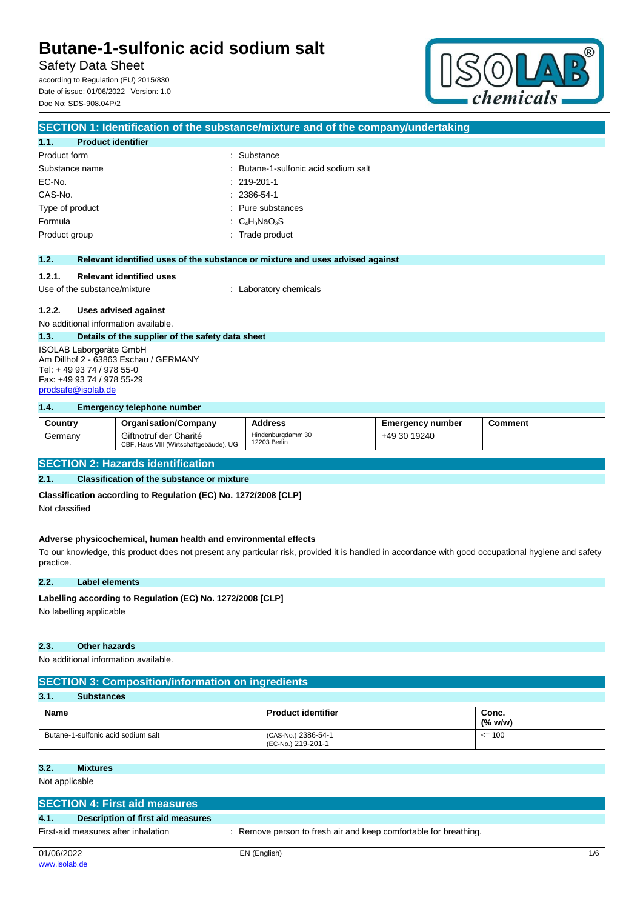**SECTION 1: Identification of the substance/mixture and of the company/undertaking**

Safety Data Sheet

according to Regulation (EU) 2015/830 Date of issue: 01/06/2022 Version: 1.0 Doc No: SDS-908.04P/2



| 1.1.                      | <b>Product identifier</b>                        |                                                                               |
|---------------------------|--------------------------------------------------|-------------------------------------------------------------------------------|
| Product form              |                                                  | : Substance                                                                   |
|                           | Substance name                                   | $\therefore$ Butane-1-sulfonic acid sodium salt                               |
| EC-No.                    |                                                  | $: 219-201-1$                                                                 |
| CAS-No.                   |                                                  | $: 2386 - 54 - 1$                                                             |
|                           | Type of product                                  | : Pure substances                                                             |
| Formula                   |                                                  | : $C_4H_9NaO_3S$                                                              |
| Product group             |                                                  | : Trade product                                                               |
|                           |                                                  |                                                                               |
| 1.2.                      |                                                  | Relevant identified uses of the substance or mixture and uses advised against |
| 1.2.1.                    | <b>Relevant identified uses</b>                  |                                                                               |
|                           | Use of the substance/mixture                     | : Laboratory chemicals                                                        |
|                           |                                                  |                                                                               |
| 1.2.2.                    | Uses advised against                             |                                                                               |
|                           | No additional information available.             |                                                                               |
| 1.3.                      | Details of the supplier of the safety data sheet |                                                                               |
|                           | ISOLAB Laborgeräte GmbH                          |                                                                               |
|                           | Am Dillhof 2 - 63863 Eschau / GERMANY            |                                                                               |
| Tel: +49 93 74 / 978 55-0 |                                                  |                                                                               |
|                           | Fax: +49 93 74 / 978 55-29                       |                                                                               |
|                           | prodsafe@isolab.de                               |                                                                               |

## **1.4. Emergency telephone number**

| Country | <b>Organisation/Company</b>                                      | <b>Address</b>                    | <b>Emergency number</b> | Comment |
|---------|------------------------------------------------------------------|-----------------------------------|-------------------------|---------|
| Germany | Giftnotruf der Charité<br>CBF, Haus VIII (Wirtschaftgebäude), UG | Hindenburgdamm 30<br>12203 Berlin | +49 30 19240            |         |

## **SECTION 2: Hazards identification**

## **2.1. Classification of the substance or mixture**

**Classification according to Regulation (EC) No. 1272/2008 [CLP]**

Not classified

### **Adverse physicochemical, human health and environmental effects**

To our knowledge, this product does not present any particular risk, provided it is handled in accordance with good occupational hygiene and safety practice.

### **2.2. Label elements**

## Labelling according to Regulation (EC) No. 1272/2008 [CLP]

No labelling applicable

## **2.3. Other hazards**

No additional information available.

## **SECTION 3: Composition/information on ingredients**

| 3.1.<br><b>Substances</b>          |                                           |                     |
|------------------------------------|-------------------------------------------|---------------------|
| <b>Name</b>                        | <b>Product identifier</b>                 | Conc.<br>$(\%$ w/w) |
| Butane-1-sulfonic acid sodium salt | (CAS-No.) 2386-54-1<br>(EC-No.) 219-201-1 | $= 100$             |

### **3.2. Mixtures**

Not applicable

|                                     | <b>SECTION 4: First aid measures</b> |                                                                  |     |  |
|-------------------------------------|--------------------------------------|------------------------------------------------------------------|-----|--|
| 4.1.                                | Description of first aid measures    |                                                                  |     |  |
| First-aid measures after inhalation |                                      | : Remove person to fresh air and keep comfortable for breathing. |     |  |
| 01/06/2022                          |                                      | EN (English)                                                     | 1/6 |  |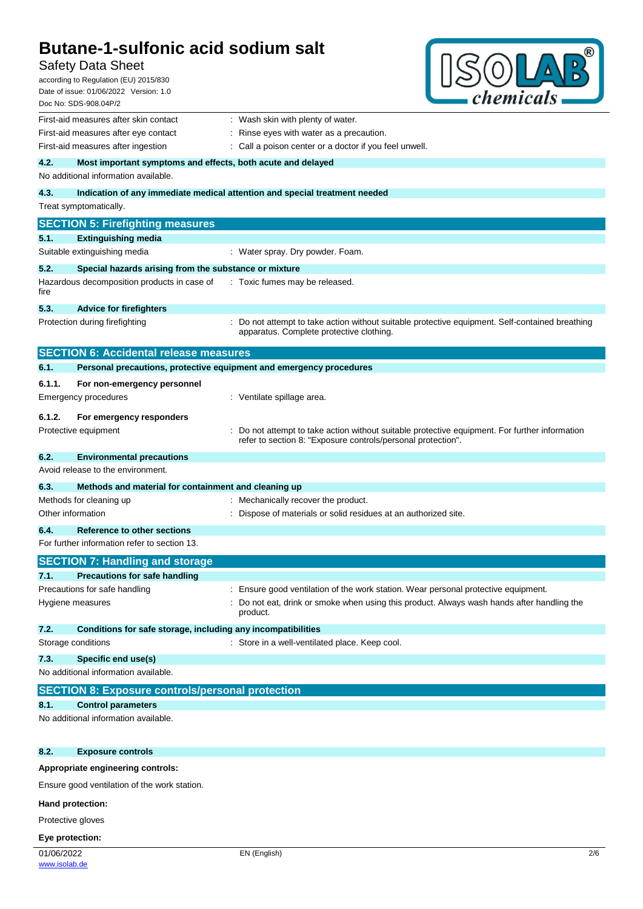## Safety Data Sheet

according to Regulation (EU) 2015/830 Date of issue: 01/06/2022 Version: 1.0



| Doc No: SDS-908.04P/2                                                       | <i>chemicals</i>                                                                                                                                             |  |  |
|-----------------------------------------------------------------------------|--------------------------------------------------------------------------------------------------------------------------------------------------------------|--|--|
| First-aid measures after skin contact                                       | : Wash skin with plenty of water.                                                                                                                            |  |  |
| First-aid measures after eye contact                                        | Rinse eyes with water as a precaution.                                                                                                                       |  |  |
| First-aid measures after ingestion                                          | : Call a poison center or a doctor if you feel unwell.                                                                                                       |  |  |
| 4.2.<br>Most important symptoms and effects, both acute and delayed         |                                                                                                                                                              |  |  |
| No additional information available.                                        |                                                                                                                                                              |  |  |
| 4.3.                                                                        | Indication of any immediate medical attention and special treatment needed                                                                                   |  |  |
| Treat symptomatically.                                                      |                                                                                                                                                              |  |  |
| <b>SECTION 5: Firefighting measures</b>                                     |                                                                                                                                                              |  |  |
| 5.1.<br><b>Extinguishing media</b>                                          |                                                                                                                                                              |  |  |
| Suitable extinguishing media                                                | : Water spray. Dry powder. Foam.                                                                                                                             |  |  |
| 5.2.<br>Special hazards arising from the substance or mixture               |                                                                                                                                                              |  |  |
| Hazardous decomposition products in case of<br>fire                         | : Toxic fumes may be released.                                                                                                                               |  |  |
| 5.3.<br><b>Advice for firefighters</b>                                      |                                                                                                                                                              |  |  |
| Protection during firefighting                                              | Do not attempt to take action without suitable protective equipment. Self-contained breathing<br>apparatus. Complete protective clothing.                    |  |  |
| <b>SECTION 6: Accidental release measures</b>                               |                                                                                                                                                              |  |  |
| 6.1.<br>Personal precautions, protective equipment and emergency procedures |                                                                                                                                                              |  |  |
| 6.1.1.<br>For non-emergency personnel                                       |                                                                                                                                                              |  |  |
| <b>Emergency procedures</b>                                                 | : Ventilate spillage area.                                                                                                                                   |  |  |
| 6.1.2.                                                                      |                                                                                                                                                              |  |  |
| For emergency responders<br>Protective equipment                            | Do not attempt to take action without suitable protective equipment. For further information<br>refer to section 8: "Exposure controls/personal protection". |  |  |
| 6.2.<br><b>Environmental precautions</b>                                    |                                                                                                                                                              |  |  |
| Avoid release to the environment.                                           |                                                                                                                                                              |  |  |
| 6.3.<br>Methods and material for containment and cleaning up                |                                                                                                                                                              |  |  |
| Methods for cleaning up                                                     | : Mechanically recover the product.                                                                                                                          |  |  |
| Other information                                                           | Dispose of materials or solid residues at an authorized site.                                                                                                |  |  |
| 6.4.<br><b>Reference to other sections</b>                                  |                                                                                                                                                              |  |  |
| For further information refer to section 13.                                |                                                                                                                                                              |  |  |
| <b>SECTION 7: Handling and storage</b>                                      |                                                                                                                                                              |  |  |
| 7.1.<br><b>Precautions for safe handling</b>                                |                                                                                                                                                              |  |  |
| Precautions for safe handling                                               | : Ensure good ventilation of the work station. Wear personal protective equipment.                                                                           |  |  |
| Hygiene measures                                                            | Do not eat, drink or smoke when using this product. Always wash hands after handling the<br>product.                                                         |  |  |
| 7.2.<br>Conditions for safe storage, including any incompatibilities        |                                                                                                                                                              |  |  |
| Storage conditions                                                          | : Store in a well-ventilated place. Keep cool.                                                                                                               |  |  |
| 7.3.<br>Specific end use(s)                                                 |                                                                                                                                                              |  |  |
| No additional information available.                                        |                                                                                                                                                              |  |  |
| <b>SECTION 8: Exposure controls/personal protection</b>                     |                                                                                                                                                              |  |  |
| 8.1.<br><b>Control parameters</b>                                           |                                                                                                                                                              |  |  |
| No additional information available.                                        |                                                                                                                                                              |  |  |
|                                                                             |                                                                                                                                                              |  |  |

## **8.2. Exposure controls**

## **Appropriate engineering controls:**

Ensure good ventilation of the work station.

## **Hand protection:**

Protective gloves

## **Eye protection:**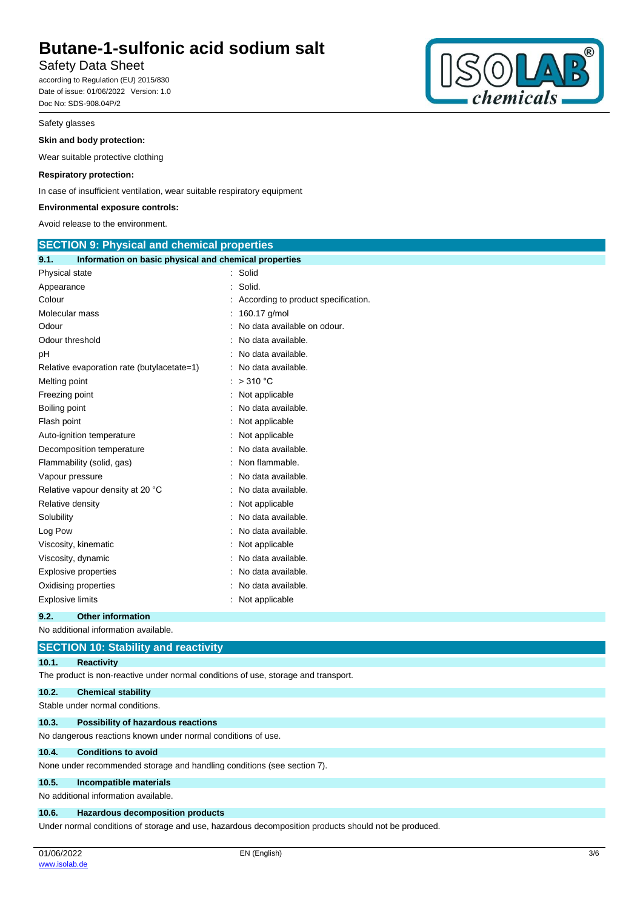## Safety Data Sheet

according to Regulation (EU) 2015/830 Date of issue: 01/06/2022 Version: 1.0 Doc No: SDS-908.04P/2

## Safety glasses

## **Skin and body protection:**

Wear suitable protective clothing

## **Respiratory protection:**

In case of insufficient ventilation, wear suitable respiratory equipment

## **Environmental exposure controls:**

Avoid release to the environment.

| <b>SECTION 9: Physical and chemical properties</b>            |                                     |
|---------------------------------------------------------------|-------------------------------------|
| Information on basic physical and chemical properties<br>9.1. |                                     |
| Physical state                                                | : Solid                             |
| Appearance                                                    | Solid.                              |
| Colour                                                        | According to product specification. |
| Molecular mass                                                | 160.17 g/mol                        |
| Odour                                                         | No data available on odour.         |
| Odour threshold                                               | No data available.                  |
| рH                                                            | No data available.                  |
| Relative evaporation rate (butylacetate=1)                    | No data available.                  |
| Melting point                                                 | >310 °C                             |
| Freezing point                                                | Not applicable                      |
| Boiling point                                                 | No data available.                  |
| Flash point                                                   | Not applicable                      |
| Auto-ignition temperature                                     | Not applicable                      |
| Decomposition temperature                                     | No data available.                  |
| Flammability (solid, gas)                                     | Non flammable.                      |
| Vapour pressure                                               | No data available.                  |
| Relative vapour density at 20 °C                              | No data available.                  |
| Relative density                                              | Not applicable                      |
| Solubility                                                    | No data available.                  |
| Log Pow                                                       | No data available.                  |
| Viscosity, kinematic                                          | Not applicable                      |
| Viscosity, dynamic                                            | No data available.                  |
| <b>Explosive properties</b>                                   | No data available.                  |
| Oxidising properties                                          | No data available.                  |
| Explosive limits                                              | Not applicable                      |
| 9.2.<br><b>Other information</b>                              |                                     |

|       | No additional information available.                                                                 |
|-------|------------------------------------------------------------------------------------------------------|
|       | <b>SECTION 10: Stability and reactivity</b>                                                          |
| 10.1. | <b>Reactivity</b>                                                                                    |
|       | The product is non-reactive under normal conditions of use, storage and transport.                   |
| 10.2. | <b>Chemical stability</b>                                                                            |
|       | Stable under normal conditions.                                                                      |
| 10.3. | <b>Possibility of hazardous reactions</b>                                                            |
|       | No dangerous reactions known under normal conditions of use.                                         |
| 10.4. | <b>Conditions to avoid</b>                                                                           |
|       | None under recommended storage and handling conditions (see section 7).                              |
| 10.5. | Incompatible materials                                                                               |
|       | No additional information available.                                                                 |
| 10.6. | Hazardous decomposition products                                                                     |
|       | Under normal conditions of storage and use, hazardous decomposition products should not be produced. |

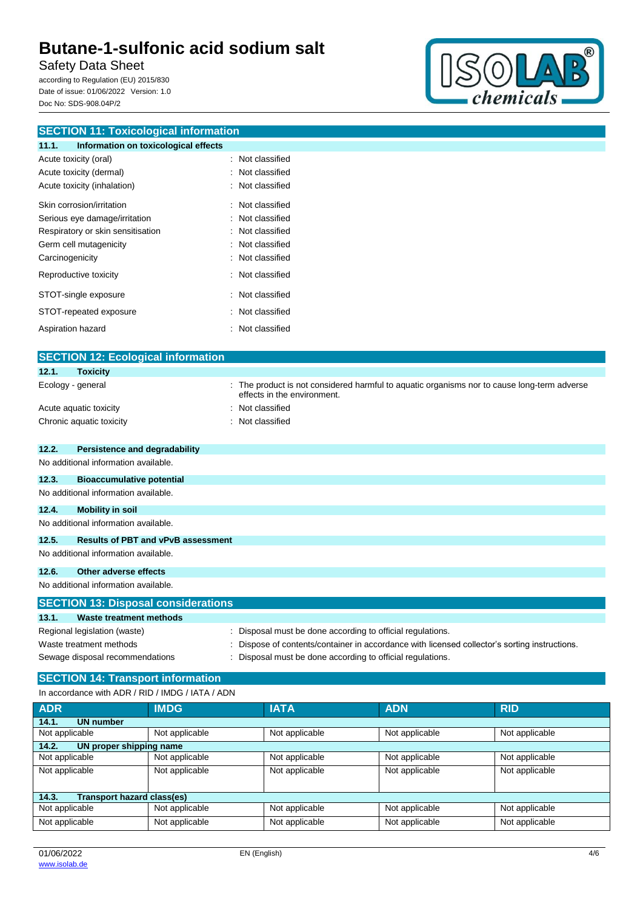Safety Data Sheet

according to Regulation (EU) 2015/830 Date of issue: 01/06/2022 Version: 1.0 Doc No: SDS-908.04P/2



| <b>SECTION 11: Toxicological information</b>                                                |                                                                                             |  |  |
|---------------------------------------------------------------------------------------------|---------------------------------------------------------------------------------------------|--|--|
| 11.1.<br>Information on toxicological effects                                               |                                                                                             |  |  |
| Acute toxicity (oral)                                                                       | : Not classified                                                                            |  |  |
| Acute toxicity (dermal)                                                                     | Not classified                                                                              |  |  |
| Acute toxicity (inhalation)                                                                 | Not classified                                                                              |  |  |
| Skin corrosion/irritation                                                                   | Not classified                                                                              |  |  |
| Serious eye damage/irritation                                                               | Not classified                                                                              |  |  |
| Respiratory or skin sensitisation                                                           | Not classified                                                                              |  |  |
| Germ cell mutagenicity                                                                      | Not classified                                                                              |  |  |
| Carcinogenicity                                                                             | Not classified                                                                              |  |  |
| Reproductive toxicity                                                                       | Not classified                                                                              |  |  |
| STOT-single exposure                                                                        | Not classified                                                                              |  |  |
| STOT-repeated exposure                                                                      | Not classified                                                                              |  |  |
| Aspiration hazard                                                                           | Not classified                                                                              |  |  |
| <b>SECTION 12: Ecological information</b>                                                   |                                                                                             |  |  |
| 12.1.<br><b>Toxicity</b>                                                                    |                                                                                             |  |  |
| Ecology - general                                                                           | The product is not considered harmful to aquatic organisms nor to cause long-term adverse   |  |  |
|                                                                                             | effects in the environment.                                                                 |  |  |
| Acute aquatic toxicity                                                                      | Not classified                                                                              |  |  |
| Chronic aquatic toxicity                                                                    | : Not classified                                                                            |  |  |
| 12.2.<br><b>Persistence and degradability</b>                                               |                                                                                             |  |  |
| No additional information available.                                                        |                                                                                             |  |  |
| 12.3.<br><b>Bioaccumulative potential</b>                                                   |                                                                                             |  |  |
| No additional information available.                                                        |                                                                                             |  |  |
| 12.4.<br><b>Mobility in soil</b>                                                            |                                                                                             |  |  |
| No additional information available.                                                        |                                                                                             |  |  |
| 12.5.<br><b>Results of PBT and vPvB assessment</b>                                          |                                                                                             |  |  |
| No additional information available.                                                        |                                                                                             |  |  |
| 12.6.<br><b>Other adverse effects</b>                                                       |                                                                                             |  |  |
| No additional information available.                                                        |                                                                                             |  |  |
| <b>SECTION 13: Disposal considerations</b>                                                  |                                                                                             |  |  |
| 13.1.<br><b>Waste treatment methods</b>                                                     |                                                                                             |  |  |
| Regional legislation (waste)                                                                | Disposal must be done according to official regulations.                                    |  |  |
| Waste treatment methods                                                                     | Dispose of contents/container in accordance with licensed collector's sorting instructions. |  |  |
| Sewage disposal recommendations<br>Disposal must be done according to official regulations. |                                                                                             |  |  |
| <b>SECTION 14: Transport information</b>                                                    |                                                                                             |  |  |

### In accordance with ADR / RID / IMDG / IATA / ADN

| <b>ADR</b>                          | <b>IMDG</b>    | <b>IATA</b>    | <b>ADN</b>     | <b>RID</b>     |
|-------------------------------------|----------------|----------------|----------------|----------------|
| 14.1.<br><b>UN number</b>           |                |                |                |                |
| Not applicable                      | Not applicable | Not applicable | Not applicable | Not applicable |
| 14.2.<br>UN proper shipping name    |                |                |                |                |
| Not applicable                      | Not applicable | Not applicable | Not applicable | Not applicable |
| Not applicable                      | Not applicable | Not applicable | Not applicable | Not applicable |
|                                     |                |                |                |                |
| Transport hazard class(es)<br>14.3. |                |                |                |                |
| Not applicable                      | Not applicable | Not applicable | Not applicable | Not applicable |
| Not applicable                      | Not applicable | Not applicable | Not applicable | Not applicable |
|                                     |                |                |                |                |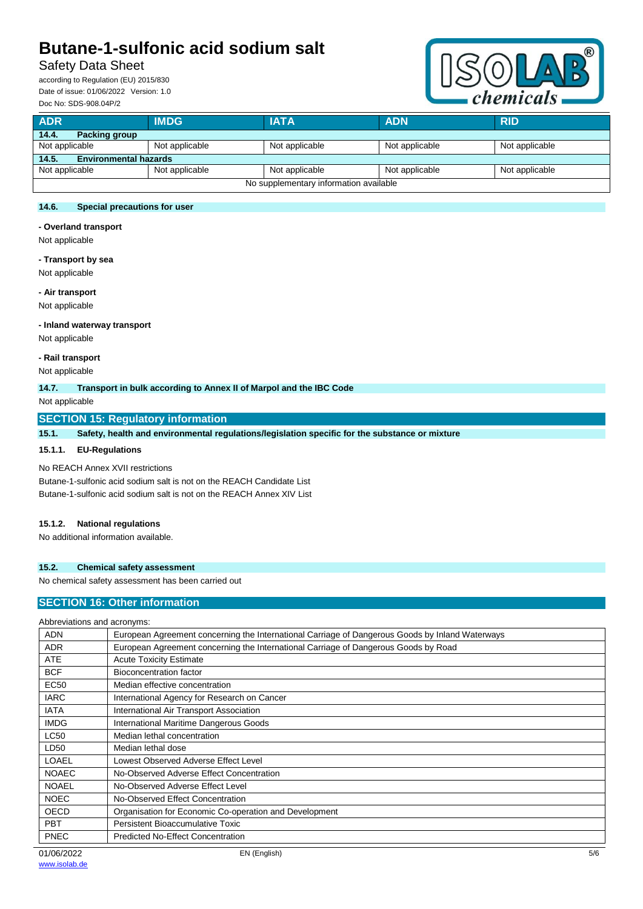## Safety Data Sheet

according to Regulation (EU) 2015/830 Date of issue: 01/06/2022 Version: 1.0 Doc No: SDS-908.04P/2



| <b>ADR</b>                             | <b>IMDG</b>    | <b>IATA</b>    | <b>ADN</b>     | <b>RID</b>     |
|----------------------------------------|----------------|----------------|----------------|----------------|
| 14.4.<br><b>Packing group</b>          |                |                |                |                |
| Not applicable                         | Not applicable | Not applicable | Not applicable | Not applicable |
| 14.5.<br><b>Environmental hazards</b>  |                |                |                |                |
| Not applicable                         | Not applicable | Not applicable | Not applicable | Not applicable |
| No supplementary information available |                |                |                |                |

## **14.6. Special precautions for user**

**- Overland transport**

Not applicable

#### **- Transport by sea**

Not applicable

#### **- Air transport**

Not applicable

### **- Inland waterway transport**

Not applicable

**- Rail transport**

Not applicable

## **14.7. Transport in bulk according to Annex II of Marpol and the IBC Code**

Not applicable

## **SECTION 15: Regulatory information**

**15.1. Safety, health and environmental regulations/legislation specific for the substance or mixture**

## **15.1.1. EU-Regulations**

## No REACH Annex XVII restrictions

Butane-1-sulfonic acid sodium salt is not on the REACH Candidate List Butane-1-sulfonic acid sodium salt is not on the REACH Annex XIV List

#### **15.1.2. National regulations**

No additional information available.

## **15.2. Chemical safety assessment**

No chemical safety assessment has been carried out

## **SECTION 16: Other information**

| Abbreviations and acronyms: |                                                                                                 |
|-----------------------------|-------------------------------------------------------------------------------------------------|
| <b>ADN</b>                  | European Agreement concerning the International Carriage of Dangerous Goods by Inland Waterways |
| <b>ADR</b>                  | European Agreement concerning the International Carriage of Dangerous Goods by Road             |
| <b>ATE</b>                  | <b>Acute Toxicity Estimate</b>                                                                  |
| <b>BCF</b>                  | Bioconcentration factor                                                                         |
| <b>EC50</b>                 | Median effective concentration                                                                  |
| <b>IARC</b>                 | International Agency for Research on Cancer                                                     |
| <b>IATA</b>                 | International Air Transport Association                                                         |
| <b>IMDG</b>                 | International Maritime Dangerous Goods                                                          |
| <b>LC50</b>                 | Median lethal concentration                                                                     |
| LD50                        | Median lethal dose                                                                              |
| LOAEL                       | Lowest Observed Adverse Effect Level                                                            |
| <b>NOAEC</b>                | No-Observed Adverse Effect Concentration                                                        |
| <b>NOAEL</b>                | No-Observed Adverse Effect Level                                                                |
| <b>NOEC</b>                 | No-Observed Effect Concentration                                                                |
| OECD                        | Organisation for Economic Co-operation and Development                                          |
| <b>PBT</b>                  | Persistent Bioaccumulative Toxic                                                                |
| <b>PNEC</b>                 | <b>Predicted No-Effect Concentration</b>                                                        |